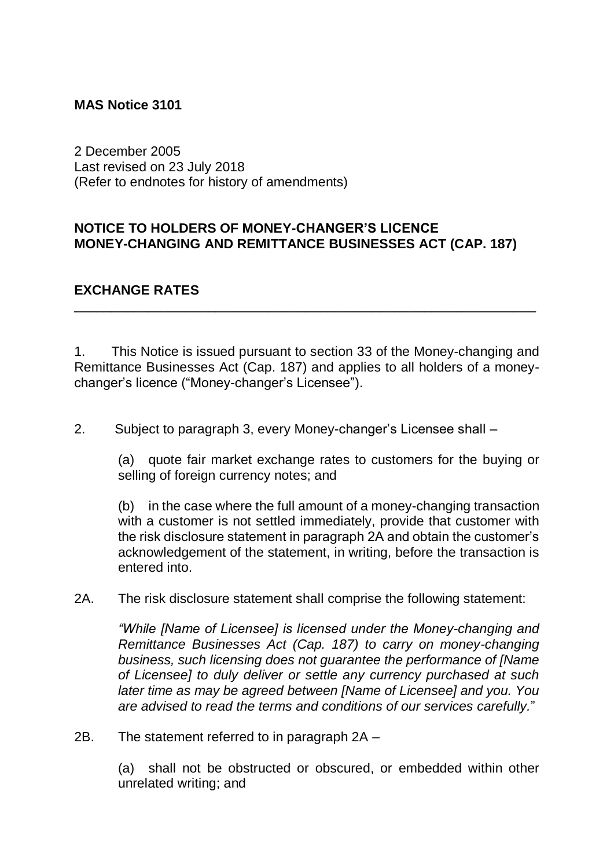## **MAS Notice 3101**

2 December 2005 Last revised on 23 July 2018 (Refer to endnotes for history of amendments)

## **NOTICE TO HOLDERS OF MONEY-CHANGER'S LICENCE MONEY-CHANGING AND REMITTANCE BUSINESSES ACT (CAP. 187)**

## **EXCHANGE RATES**

1. This Notice is issued pursuant to section 33 of the Money-changing and Remittance Businesses Act (Cap. 187) and applies to all holders of a moneychanger's licence ("Money-changer's Licensee").

\_\_\_\_\_\_\_\_\_\_\_\_\_\_\_\_\_\_\_\_\_\_\_\_\_\_\_\_\_\_\_\_\_\_\_\_\_\_\_\_\_\_\_\_\_\_\_\_\_\_\_\_\_\_\_\_\_\_\_\_\_\_

2. Subject to paragraph 3, every Money-changer's Licensee shall –

(a) quote fair market exchange rates to customers for the buying or selling of foreign currency notes; and

(b) in the case where the full amount of a money-changing transaction with a customer is not settled immediately, provide that customer with the risk disclosure statement in paragraph 2A and obtain the customer's acknowledgement of the statement, in writing, before the transaction is entered into.

2A. The risk disclosure statement shall comprise the following statement:

*"While [Name of Licensee] is licensed under the Money-changing and Remittance Businesses Act (Cap. 187) to carry on money-changing business, such licensing does not guarantee the performance of [Name of Licensee] to duly deliver or settle any currency purchased at such later time as may be agreed between [Name of Licensee] and you. You are advised to read the terms and conditions of our services carefully.*"

2B. The statement referred to in paragraph 2A –

(a) shall not be obstructed or obscured, or embedded within other unrelated writing; and